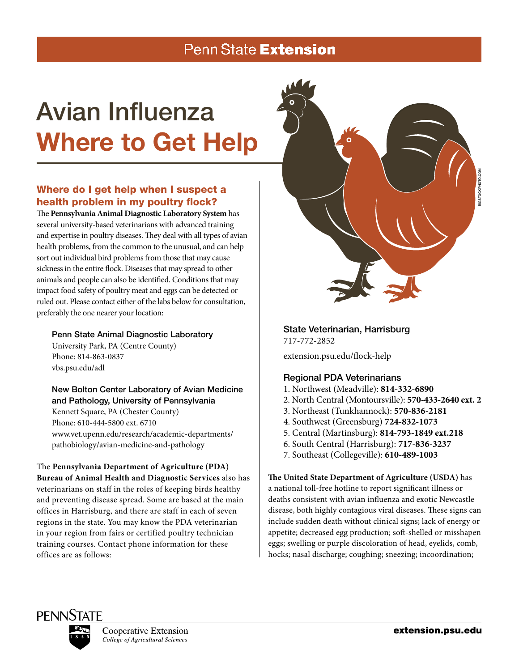# Penn State Extension

# Avian Influenza Where to Get Help

# Where do I get help when I suspect a health problem in my poultry flock?

The **Pennsylvania Animal Diagnostic Laboratory System** has several university-based veterinarians with advanced training and expertise in poultry diseases. They deal with all types of avian health problems, from the common to the unusual, and can help sort out individual bird problems from those that may cause sickness in the entire flock. Diseases that may spread to other animals and people can also be identified. Conditions that may impact food safety of poultry meat and eggs can be detected or ruled out. Please contact either of the labs below for consultation, preferably the one nearer your location:

#### Penn State Animal Diagnostic Laboratory

University Park, PA (Centre County) Phone: 814-863-0837 vbs.psu.edu/adl

#### New Bolton Center Laboratory of Avian Medicine and Pathology, University of Pennsylvania

Kennett Square, PA (Chester County) Phone: 610-444-5800 ext. 6710 www.vet.upenn.edu/research/academic-departments/ pathobiology/avian-medicine-and-pathology

The **Pennsylvania Department of Agriculture (PDA) Bureau of Animal Health and Diagnostic Services** also has veterinarians on staff in the roles of keeping birds healthy and preventing disease spread. Some are based at the main offices in Harrisburg, and there are staff in each of seven regions in the state. You may know the PDA veterinarian in your region from fairs or certified poultry technician training courses. Contact phone information for these offices are as follows:



# State Veterinarian, Harrisburg

717-772-2852 extension.psu.edu/flock-help

## Regional PDA Veterinarians

- 1. Northwest (Meadville): **814-332-6890**
- 2. North Central (Montoursville): **570-433-2640 ext. 2**
- 3. Northeast (Tunkhannock): **570-836-2181**
- 4. Southwest (Greensburg) **724-832-1073**
- 5. Central (Martinsburg): **814-793-1849 ext.218**
- 6. South Central (Harrisburg): **717-836-3237**
- 7. Southeast (Collegeville): **610-489-1003**

**The United State Department of Agriculture (USDA)** has a national toll-free hotline to report significant illness or deaths consistent with avian influenza and exotic Newcastle disease, both highly contagious viral diseases. These signs can include sudden death without clinical signs; lack of energy or appetite; decreased egg production; soft-shelled or misshapen eggs; swelling or purple discoloration of head, eyelids, comb, hocks; nasal discharge; coughing; sneezing; incoordination;